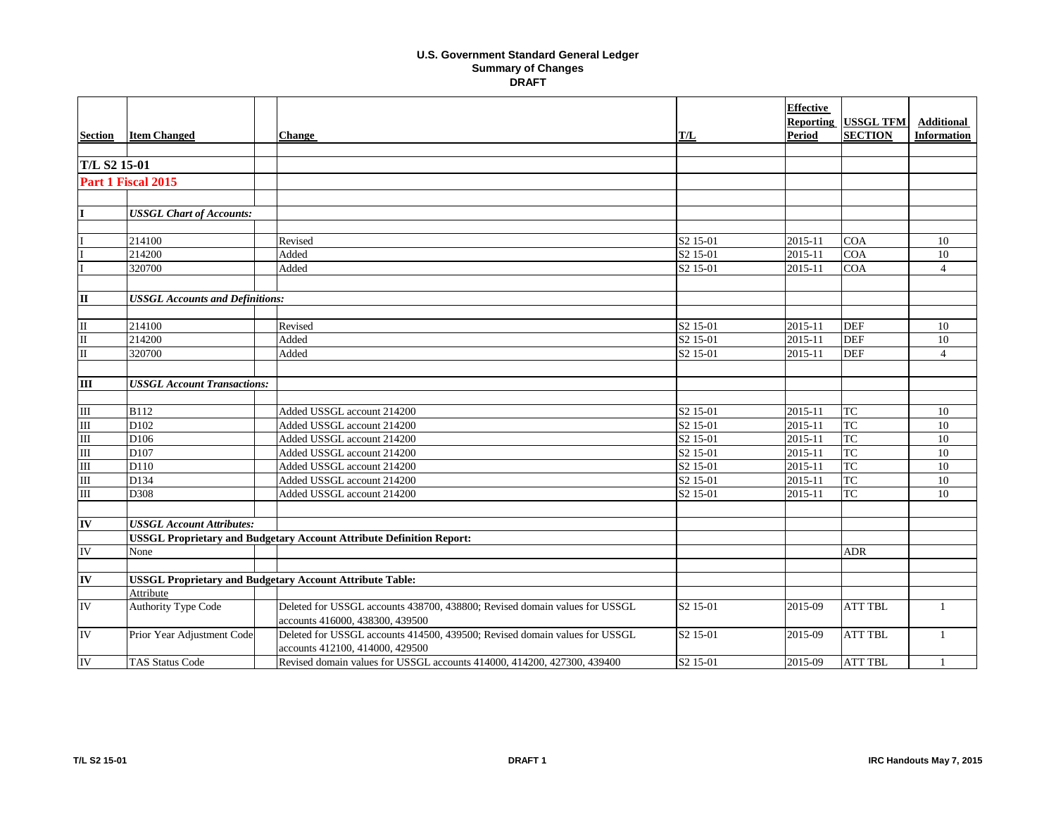|                          |                                        |                                                                                                               |                      | <b>Effective</b><br><b>Reporting</b> | <b>USSGL TFM</b> | <b>Additional</b>  |
|--------------------------|----------------------------------------|---------------------------------------------------------------------------------------------------------------|----------------------|--------------------------------------|------------------|--------------------|
| <b>Section</b>           | <b>Item Changed</b>                    | <b>Change</b>                                                                                                 | T/L                  | Period                               | <b>SECTION</b>   | <b>Information</b> |
|                          |                                        |                                                                                                               |                      |                                      |                  |                    |
| T/L S2 15-01             |                                        |                                                                                                               |                      |                                      |                  |                    |
|                          | Part 1 Fiscal 2015                     |                                                                                                               |                      |                                      |                  |                    |
|                          |                                        |                                                                                                               |                      |                                      |                  |                    |
| I                        | <b>USSGL Chart of Accounts:</b>        |                                                                                                               |                      |                                      |                  |                    |
|                          |                                        |                                                                                                               |                      |                                      |                  |                    |
|                          | 214100                                 | Revised                                                                                                       | S <sub>2</sub> 15-01 | 2015-11                              | <b>COA</b>       | 10                 |
|                          | 214200                                 | Added                                                                                                         | S <sub>2</sub> 15-01 | 2015-11                              | <b>COA</b>       | $\overline{10}$    |
|                          | 320700                                 | Added                                                                                                         | S <sub>2</sub> 15-01 | 2015-11                              | COA              | $\overline{4}$     |
|                          |                                        |                                                                                                               |                      |                                      |                  |                    |
| $\mathbf{u}$             | <b>USSGL Accounts and Definitions:</b> |                                                                                                               |                      |                                      |                  |                    |
|                          |                                        |                                                                                                               |                      |                                      |                  |                    |
| $\mathbf{I}$             | 214100                                 | Revised                                                                                                       | S <sub>2</sub> 15-01 | 2015-11                              | <b>DEF</b>       | 10                 |
| $\rm II$                 | 214200                                 | Added                                                                                                         | S <sub>2</sub> 15-01 | 2015-11                              | <b>DEF</b>       | 10                 |
| $\overline{\rm II}$      | 320700                                 | Added                                                                                                         | S <sub>2</sub> 15-01 | 2015-11                              | <b>DEF</b>       | $\overline{4}$     |
|                          |                                        |                                                                                                               |                      |                                      |                  |                    |
| $\overline{\mathbf{m}}$  | <b>USSGL Account Transactions:</b>     |                                                                                                               |                      |                                      |                  |                    |
|                          |                                        |                                                                                                               |                      |                                      |                  |                    |
| $\rm III$                | <b>B112</b>                            | Added USSGL account 214200                                                                                    | S <sub>2</sub> 15-01 | 2015-11                              | <b>TC</b>        | 10                 |
| $\overline{\mathbf{m}}$  | D <sub>102</sub>                       | Added USSGL account 214200                                                                                    | S <sub>2</sub> 15-01 | 2015-11                              | <b>TC</b>        | 10                 |
| $\overline{\mathbf{m}}$  | D <sub>106</sub>                       | Added USSGL account 214200                                                                                    | S <sub>2</sub> 15-01 | 2015-11                              | <b>TC</b>        | 10                 |
| $\overline{\mathbf{m}}$  | D107                                   | Added USSGL account 214200                                                                                    | S <sub>2</sub> 15-01 | 2015-11                              | TC               | $10\,$             |
| $\overline{\mathbf{m}}$  | D110                                   | Added USSGL account 214200                                                                                    | S <sub>2</sub> 15-01 | 2015-11                              | TC               | $\overline{10}$    |
| $\overline{\mathbf{m}}$  | D134                                   | Added USSGL account 214200                                                                                    | S <sub>2</sub> 15-01 | 2015-11                              | <b>TC</b>        | 10                 |
| $\overline{\mathbf{m}}$  | $D\overline{308}$                      | Added USSGL account 214200                                                                                    | S <sub>2</sub> 15-01 | 2015-11                              | <b>TC</b>        | 10                 |
|                          |                                        |                                                                                                               |                      |                                      |                  |                    |
| $\overline{\mathbf{I}}$  | <b>USSGL Account Attributes:</b>       |                                                                                                               |                      |                                      |                  |                    |
|                          |                                        | <b>USSGL Proprietary and Budgetary Account Attribute Definition Report:</b>                                   |                      |                                      |                  |                    |
| IV                       | None                                   |                                                                                                               |                      |                                      | <b>ADR</b>       |                    |
|                          |                                        |                                                                                                               |                      |                                      |                  |                    |
| $\overline{\mathbf{IV}}$ |                                        | <b>USSGL Proprietary and Budgetary Account Attribute Table:</b>                                               |                      |                                      |                  |                    |
|                          | Attribute                              |                                                                                                               |                      |                                      |                  |                    |
| IV                       | <b>Authority Type Code</b>             | Deleted for USSGL accounts 438700, 438800; Revised domain values for USSGL<br>accounts 416000, 438300, 439500 | S <sub>2</sub> 15-01 | 2015-09                              | <b>ATT TBL</b>   | $\overline{1}$     |
| IV                       | Prior Year Adjustment Code             | Deleted for USSGL accounts 414500, 439500; Revised domain values for USSGL                                    | S <sub>2</sub> 15-01 | 2015-09                              | <b>ATT TBL</b>   | -1                 |
|                          |                                        | accounts 412100, 414000, 429500                                                                               |                      |                                      |                  |                    |
| ${\rm IV}$               | <b>TAS Status Code</b>                 | Revised domain values for USSGL accounts 414000, 414200, 427300, 439400                                       | S <sub>2</sub> 15-01 | 2015-09                              | <b>ATT TBL</b>   | $\overline{1}$     |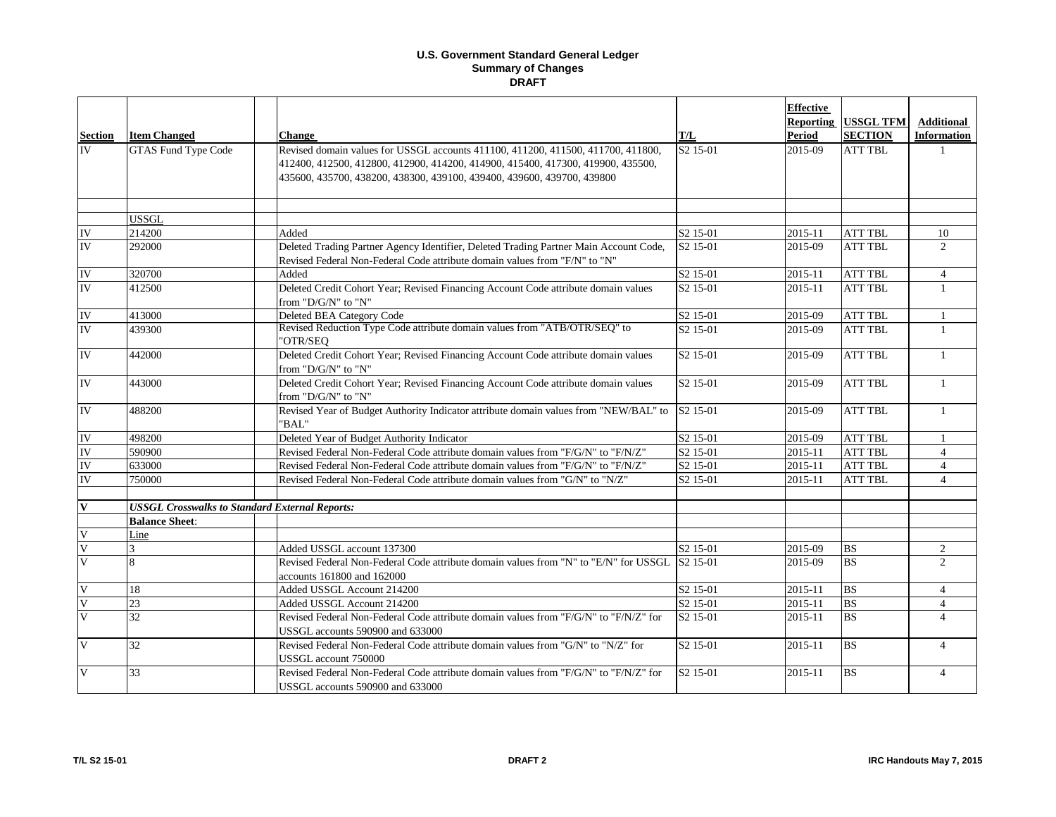|                         |                                                       |                                                                                                                                                                                                                                               |                      | <b>Effective</b><br><b>Reporting</b> | <b>USSGL TFM</b>       | <b>Additional</b>  |
|-------------------------|-------------------------------------------------------|-----------------------------------------------------------------------------------------------------------------------------------------------------------------------------------------------------------------------------------------------|----------------------|--------------------------------------|------------------------|--------------------|
| <b>Section</b>          | <b>Item Changed</b>                                   | <b>Change</b>                                                                                                                                                                                                                                 | T/L                  | <b>Period</b>                        | <b>SECTION</b>         | <b>Information</b> |
| <b>IV</b>               | <b>GTAS Fund Type Code</b>                            | Revised domain values for USSGL accounts 411100, 411200, 411500, 411700, 411800,<br>412400, 412500, 412800, 412900, 414200, 414900, 415400, 417300, 419900, 435500,<br>435600, 435700, 438200, 438300, 439100, 439400, 439600, 439700, 439800 | S <sub>2</sub> 15-01 | 2015-09                              | <b>ATT TBL</b>         |                    |
|                         | <b>USSGL</b>                                          |                                                                                                                                                                                                                                               |                      |                                      |                        |                    |
| IV                      | 214200                                                | Added                                                                                                                                                                                                                                         | S <sub>2</sub> 15-01 | 2015-11                              | <b>ATT TBL</b>         | 10                 |
| IV                      | 292000                                                | Deleted Trading Partner Agency Identifier, Deleted Trading Partner Main Account Code,<br>Revised Federal Non-Federal Code attribute domain values from "F/N" to "N"                                                                           | S <sub>2</sub> 15-01 | 2015-09                              | <b>ATT TBL</b>         | $\overline{2}$     |
| IV                      | 320700                                                | Added                                                                                                                                                                                                                                         | S2 15-01             | 2015-11                              | <b>ATT TBL</b>         | $\overline{4}$     |
| IV                      | 412500                                                | Deleted Credit Cohort Year; Revised Financing Account Code attribute domain values<br>from "D/G/N" to "N"                                                                                                                                     | S <sub>2</sub> 15-01 | 2015-11                              | <b>ATT TBL</b>         | 1                  |
| IV                      | 413000                                                | Deleted BEA Category Code                                                                                                                                                                                                                     | S2 15-01             | 2015-09                              | <b>ATT TBL</b>         | $\mathbf{1}$       |
| IV                      | 439300                                                | Revised Reduction Type Code attribute domain values from "ATB/OTR/SEQ" to<br>"OTR/SEQ                                                                                                                                                         | S2 15-01             | 2015-09                              | <b>ATT TBL</b>         | -1                 |
| IV                      | 442000                                                | Deleted Credit Cohort Year; Revised Financing Account Code attribute domain values<br>from "D/G/N" to "N"                                                                                                                                     | S2 15-01             | 2015-09                              | <b>ATT TBL</b>         | $\mathbf{1}$       |
| IV                      | 443000                                                | Deleted Credit Cohort Year; Revised Financing Account Code attribute domain values<br>from "D/G/N" to "N"                                                                                                                                     | S <sub>2</sub> 15-01 | 2015-09                              | <b>ATT TBL</b>         | $\mathbf{1}$       |
| IV                      | 488200                                                | Revised Year of Budget Authority Indicator attribute domain values from "NEW/BAL" to<br>'BAL"                                                                                                                                                 | S <sub>2</sub> 15-01 | 2015-09                              | <b>ATT TBL</b>         | $\mathbf{1}$       |
| IV                      | 498200                                                | Deleted Year of Budget Authority Indicator                                                                                                                                                                                                    | S <sub>2</sub> 15-01 | 2015-09                              | <b>ATT TBL</b>         |                    |
| IV                      | 590900                                                | Revised Federal Non-Federal Code attribute domain values from "F/G/N" to "F/N/Z"                                                                                                                                                              | S <sub>2</sub> 15-01 | 2015-11                              | <b>ATT TBL</b>         | $\overline{4}$     |
| IV                      | 633000                                                | Revised Federal Non-Federal Code attribute domain values from "F/G/N" to "F/N/Z"                                                                                                                                                              | S2 15-01             | 2015-11                              | <b>ATT TBL</b>         | $\overline{4}$     |
| IV                      | 750000                                                | Revised Federal Non-Federal Code attribute domain values from "G/N" to "N/Z"                                                                                                                                                                  | S <sub>2</sub> 15-01 | 2015-11                              | <b>ATT TBL</b>         | $\overline{4}$     |
| $\overline{\mathbf{V}}$ | <b>USSGL Crosswalks to Standard External Reports:</b> |                                                                                                                                                                                                                                               |                      |                                      |                        |                    |
|                         | <b>Balance Sheet:</b>                                 |                                                                                                                                                                                                                                               |                      |                                      |                        |                    |
| $\overline{\mathsf{V}}$ | Line                                                  |                                                                                                                                                                                                                                               |                      |                                      |                        |                    |
| $\overline{\mathsf{V}}$ |                                                       | Added USSGL account 137300                                                                                                                                                                                                                    | S <sub>2</sub> 15-01 | 2015-09                              | <b>BS</b>              | $\overline{2}$     |
| $\overline{\mathsf{V}}$ | $\mathbf{8}$                                          | Revised Federal Non-Federal Code attribute domain values from "N" to "E/N" for USSGL<br>accounts 161800 and 162000                                                                                                                            | S <sub>2</sub> 15-01 | 2015-09                              | <b>BS</b>              | $\overline{2}$     |
| $\overline{\mathsf{V}}$ | 18                                                    | Added USSGL Account 214200                                                                                                                                                                                                                    | S <sub>2</sub> 15-01 | 2015-11                              | <b>BS</b>              | $\overline{4}$     |
| $\overline{\mathsf{V}}$ | 23                                                    | Added USSGL Account 214200                                                                                                                                                                                                                    | S <sub>2</sub> 15-01 | 2015-11                              | <b>BS</b>              | $\overline{4}$     |
| $\overline{V}$          | 32                                                    | Revised Federal Non-Federal Code attribute domain values from "F/G/N" to "F/N/Z" for<br>USSGL accounts 590900 and 633000                                                                                                                      | S <sub>2</sub> 15-01 | 2015-11                              | <b>BS</b>              | $\overline{4}$     |
| $\overline{\mathbf{V}}$ | 32                                                    | Revised Federal Non-Federal Code attribute domain values from "G/N" to "N/Z" for<br>USSGL account 750000                                                                                                                                      | S <sub>2</sub> 15-01 | 2015-11                              | $\overline{\text{BS}}$ | $\overline{4}$     |
| $\overline{\mathbf{V}}$ | 33                                                    | Revised Federal Non-Federal Code attribute domain values from "F/G/N" to "F/N/Z" for<br>USSGL accounts 590900 and 633000                                                                                                                      | S <sub>2</sub> 15-01 | 2015-11                              | <b>BS</b>              | $\overline{4}$     |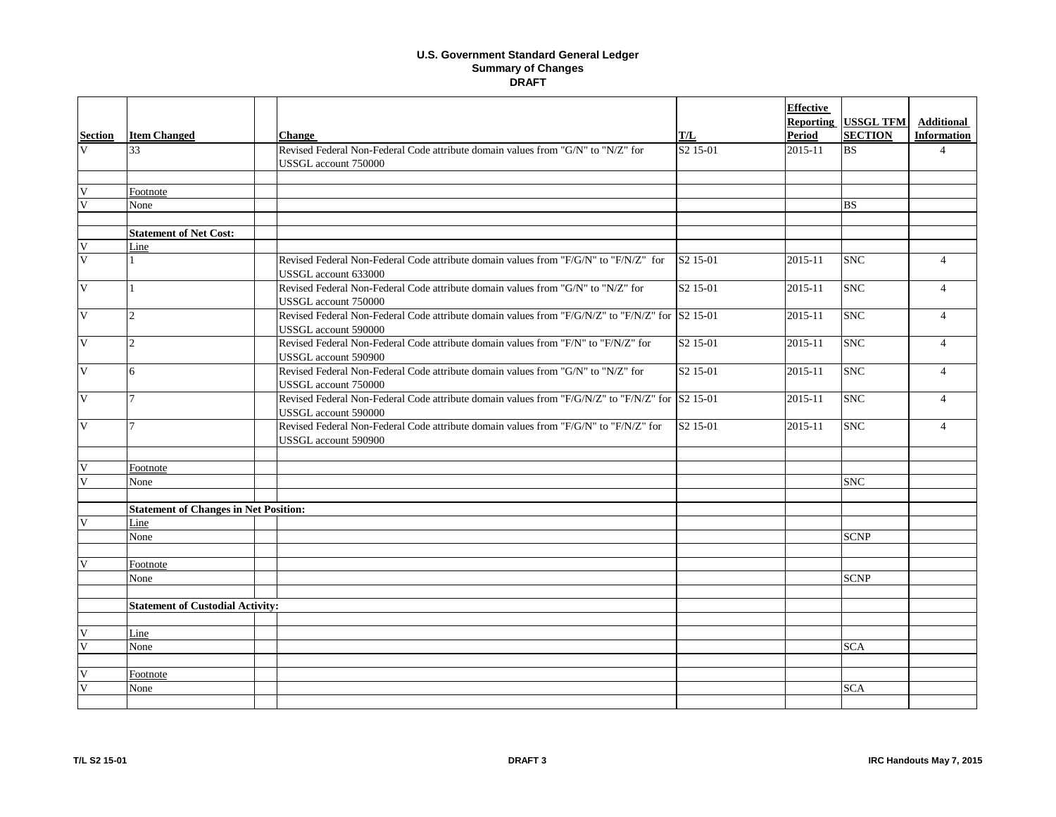| <b>Section</b>               | <b>Item Changed</b>                          | <b>Change</b>                                                                                                                                     | T/L                  | <b>Effective</b><br>Reporting<br>Period | <b>USSGL TFM</b><br><b>SECTION</b> | <b>Additional</b><br><b>Information</b> |
|------------------------------|----------------------------------------------|---------------------------------------------------------------------------------------------------------------------------------------------------|----------------------|-----------------------------------------|------------------------------------|-----------------------------------------|
| $\mathbf{V}$                 | 33                                           | Revised Federal Non-Federal Code attribute domain values from "G/N" to "N/Z" for<br>USSGL account 750000                                          | S <sub>2</sub> 15-01 | 2015-11                                 | <b>BS</b>                          | $\overline{4}$                          |
| V                            | Footnote                                     |                                                                                                                                                   |                      |                                         |                                    |                                         |
| $\overline{\mathsf{V}}$      | None                                         |                                                                                                                                                   |                      |                                         | <b>BS</b>                          |                                         |
|                              |                                              |                                                                                                                                                   |                      |                                         |                                    |                                         |
|                              | <b>Statement of Net Cost:</b>                |                                                                                                                                                   |                      |                                         |                                    |                                         |
| $\mathbf{V}$                 | Line                                         |                                                                                                                                                   |                      |                                         |                                    |                                         |
| $\overline{\mathsf{V}}$      |                                              | Revised Federal Non-Federal Code attribute domain values from "F/G/N" to "F/N/Z" for<br>USSGL account 633000                                      | S <sub>2</sub> 15-01 | 2015-11                                 | <b>SNC</b>                         | $\overline{4}$                          |
| $\overline{\mathbf{V}}$      |                                              | Revised Federal Non-Federal Code attribute domain values from "G/N" to "N/Z" for<br>USSGL account 750000                                          | S <sub>2</sub> 15-01 | 2015-11                                 | <b>SNC</b>                         | $\overline{4}$                          |
| $\overline{\mathbf{V}}$      | $\mathfrak{D}$                               | Revised Federal Non-Federal Code attribute domain values from "F/G/N/Z" to "F/N/Z" for S2 15-01<br>USSGL account 590000                           |                      | 2015-11                                 | <b>SNC</b>                         | $\overline{4}$                          |
| $\mathbf{V}$                 | $\overline{c}$                               | Revised Federal Non-Federal Code attribute domain values from "F/N" to "F/N/Z" for<br>USSGL account 590900                                        | S <sub>2</sub> 15-01 | 2015-11                                 | <b>SNC</b>                         | $\overline{4}$                          |
| $\overline{\mathbf{V}}$      | 6                                            | Revised Federal Non-Federal Code attribute domain values from "G/N" to "N/Z" for<br>USSGL account 750000                                          | S <sub>2</sub> 15-01 | 2015-11                                 | <b>SNC</b>                         | $\overline{4}$                          |
| $\overline{V}$               | $\overline{7}$                               | Revised Federal Non-Federal Code attribute domain values from "F/G/N/Z" to "F/N/Z" for $\vert S2 \ 15{\text -}01 \rangle$<br>USSGL account 590000 |                      | 2015-11                                 | <b>SNC</b>                         | $\overline{4}$                          |
| $\overline{\mathbf{V}}$      | $\overline{7}$                               | Revised Federal Non-Federal Code attribute domain values from "F/G/N" to "F/N/Z" for<br>USSGL account 590900                                      | S <sub>2</sub> 15-01 | 2015-11                                 | <b>SNC</b>                         | $\overline{4}$                          |
|                              |                                              |                                                                                                                                                   |                      |                                         |                                    |                                         |
| $\overline{\mathsf{V}}$<br>V | Footnote                                     |                                                                                                                                                   |                      |                                         |                                    |                                         |
|                              | None                                         |                                                                                                                                                   |                      |                                         | <b>SNC</b>                         |                                         |
|                              | <b>Statement of Changes in Net Position:</b> |                                                                                                                                                   |                      |                                         |                                    |                                         |
| $\overline{\mathsf{V}}$      | Line                                         |                                                                                                                                                   |                      |                                         |                                    |                                         |
|                              | None                                         |                                                                                                                                                   |                      |                                         | <b>SCNP</b>                        |                                         |
|                              |                                              |                                                                                                                                                   |                      |                                         |                                    |                                         |
| $\overline{\mathbf{V}}$      | Footnote                                     |                                                                                                                                                   |                      |                                         |                                    |                                         |
|                              | None                                         |                                                                                                                                                   |                      |                                         | <b>SCNP</b>                        |                                         |
|                              |                                              |                                                                                                                                                   |                      |                                         |                                    |                                         |
|                              | <b>Statement of Custodial Activity:</b>      |                                                                                                                                                   |                      |                                         |                                    |                                         |
|                              |                                              |                                                                                                                                                   |                      |                                         |                                    |                                         |
| V                            | Line                                         |                                                                                                                                                   |                      |                                         |                                    |                                         |
| $\overline{\mathbf{V}}$      | None                                         |                                                                                                                                                   |                      |                                         | <b>SCA</b>                         |                                         |
|                              |                                              |                                                                                                                                                   |                      |                                         |                                    |                                         |
| $\overline{\mathbf{V}}$      | Footnote                                     |                                                                                                                                                   |                      |                                         |                                    |                                         |
|                              | None                                         |                                                                                                                                                   |                      |                                         | <b>SCA</b>                         |                                         |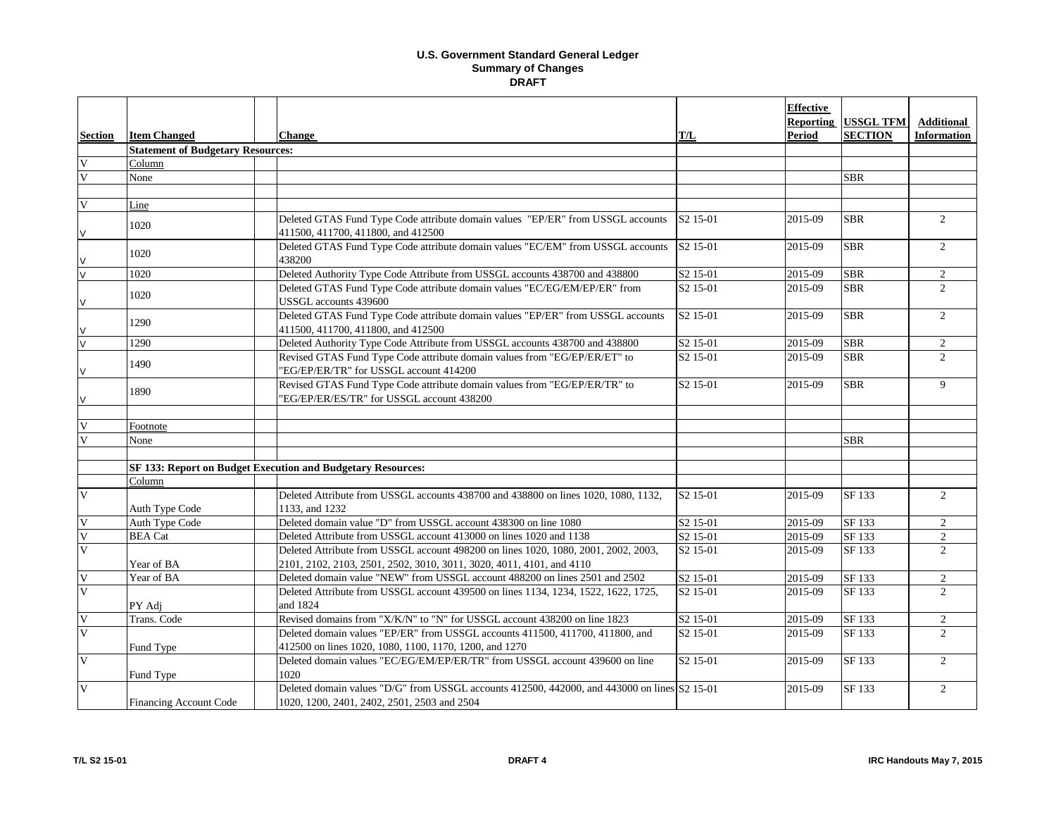|                         |                                          |                                                                                                                                                            |                      | <b>Effective</b> |                            |                    |
|-------------------------|------------------------------------------|------------------------------------------------------------------------------------------------------------------------------------------------------------|----------------------|------------------|----------------------------|--------------------|
|                         |                                          |                                                                                                                                                            |                      | <b>Reporting</b> | <b>USSGL TFM</b>           | <b>Additional</b>  |
| <b>Section</b>          | <b>Item Changed</b>                      | <b>Change</b>                                                                                                                                              | T/L                  | <b>Period</b>    | <b>SECTION</b>             | <b>Information</b> |
|                         | <b>Statement of Budgetary Resources:</b> |                                                                                                                                                            |                      |                  |                            |                    |
| $\mathbf V$             | Column                                   |                                                                                                                                                            |                      |                  |                            |                    |
| V                       | None                                     |                                                                                                                                                            |                      |                  | <b>SBR</b>                 |                    |
|                         |                                          |                                                                                                                                                            |                      |                  |                            |                    |
| V                       | Line                                     |                                                                                                                                                            |                      |                  |                            |                    |
| V                       | 1020                                     | Deleted GTAS Fund Type Code attribute domain values "EP/ER" from USSGL accounts<br>411500, 411700, 411800, and 412500                                      | S <sub>2</sub> 15-01 | 2015-09          | <b>SBR</b>                 | $\overline{2}$     |
| V                       | 1020                                     | Deleted GTAS Fund Type Code attribute domain values "EC/EM" from USSGL accounts<br>438200                                                                  | S <sub>2</sub> 15-01 | 2015-09          | <b>SBR</b>                 | 2                  |
| $\overline{\mathsf{v}}$ | 1020                                     | Deleted Authority Type Code Attribute from USSGL accounts 438700 and 438800                                                                                | S <sub>2</sub> 15-01 | 2015-09          | <b>SBR</b>                 | $\overline{2}$     |
| V                       | 1020                                     | Deleted GTAS Fund Type Code attribute domain values "EC/EG/EM/EP/ER" from<br>USSGL accounts 439600                                                         | S <sub>2</sub> 15-01 | 2015-09          | <b>SBR</b>                 | $\mathfrak{D}$     |
| V                       | 1290                                     | Deleted GTAS Fund Type Code attribute domain values "EP/ER" from USSGL accounts<br>411500, 411700, 411800, and 412500                                      | S <sub>2</sub> 15-01 | 2015-09          | <b>SBR</b>                 | 2                  |
| $\overline{\mathsf{v}}$ | 1290                                     | Deleted Authority Type Code Attribute from USSGL accounts 438700 and 438800                                                                                | S2 15-01             | 2015-09          | <b>SBR</b>                 | 2                  |
| V                       | 1490                                     | Revised GTAS Fund Type Code attribute domain values from "EG/EP/ER/ET" to<br>"EG/EP/ER/TR" for USSGL account 414200                                        | S <sub>2</sub> 15-01 | 2015-09          | <b>SBR</b>                 | 2                  |
| V                       | 1890                                     | Revised GTAS Fund Type Code attribute domain values from "EG/EP/ER/TR" to<br>'EG/EP/ER/ES/TR" for USSGL account 438200                                     | S <sub>2</sub> 15-01 | 2015-09          | <b>SBR</b>                 | 9                  |
| $\overline{\mathbf{V}}$ | Footnote                                 |                                                                                                                                                            |                      |                  |                            |                    |
| $\overline{\mathbf{V}}$ | None                                     |                                                                                                                                                            |                      |                  | <b>SBR</b>                 |                    |
|                         |                                          |                                                                                                                                                            |                      |                  |                            |                    |
|                         |                                          | SF 133: Report on Budget Execution and Budgetary Resources:                                                                                                |                      |                  |                            |                    |
|                         | Column                                   |                                                                                                                                                            |                      |                  |                            |                    |
| $\overline{\mathbf{V}}$ | Auth Type Code                           | Deleted Attribute from USSGL accounts 438700 and 438800 on lines 1020, 1080, 1132,<br>1133, and 1232                                                       | S <sub>2</sub> 15-01 | 2015-09          | SF 133                     | $\overline{2}$     |
| V                       | <b>Auth Type Code</b>                    | Deleted domain value "D" from USSGL account 438300 on line 1080                                                                                            | S <sub>2</sub> 15-01 | 2015-09          | $\overline{\text{SF}}$ 133 | $\overline{2}$     |
| $\overline{\mathsf{V}}$ | <b>BEA</b> Cat                           | Deleted Attribute from USSGL account 413000 on lines 1020 and 1138                                                                                         | S <sub>2</sub> 15-01 | 2015-09          | SF 133                     | $\overline{2}$     |
| $\overline{\mathbf{V}}$ | Year of BA                               | Deleted Attribute from USSGL account 498200 on lines 1020, 1080, 2001, 2002, 2003,<br>2101, 2102, 2103, 2501, 2502, 3010, 3011, 3020, 4011, 4101, and 4110 | S <sub>2</sub> 15-01 | 2015-09          | SF 133                     | $\overline{2}$     |
| $\mathbf V$             | Year of BA                               | Deleted domain value "NEW" from USSGL account 488200 on lines 2501 and 2502                                                                                | S <sub>2</sub> 15-01 | 2015-09          | SF 133                     | $\overline{2}$     |
| $\overline{\mathsf{V}}$ |                                          | Deleted Attribute from USSGL account 439500 on lines 1134, 1234, 1522, 1622, 1725,                                                                         | S <sub>2</sub> 15-01 | 2015-09          | SF 133                     | $\overline{2}$     |
|                         | PY Adj                                   | and 1824                                                                                                                                                   |                      |                  |                            |                    |
| $\overline{\mathsf{V}}$ | Trans. Code                              | Revised domains from "X/K/N" to "N" for USSGL account 438200 on line 1823                                                                                  | S <sub>2</sub> 15-01 | 2015-09          | SF 133                     | $\overline{2}$     |
| $\overline{\mathbf{V}}$ |                                          | Deleted domain values "EP/ER" from USSGL accounts 411500, 411700, 411800, and                                                                              | S <sub>2</sub> 15-01 | 2015-09          | SF 133                     | $\overline{2}$     |
|                         | Fund Type                                | 412500 on lines 1020, 1080, 1100, 1170, 1200, and 1270                                                                                                     |                      |                  |                            |                    |
| V                       | Fund Type                                | Deleted domain values "EC/EG/EM/EP/ER/TR" from USSGL account 439600 on line<br>1020                                                                        | S <sub>2</sub> 15-01 | 2015-09          | SF 133                     | $\overline{2}$     |
| $\overline{\mathbf{V}}$ | <b>Financing Account Code</b>            | Deleted domain values "D/G" from USSGL accounts 412500, 442000, and 443000 on lines S2 15-01<br>1020, 1200, 2401, 2402, 2501, 2503 and 2504                |                      | 2015-09          | SF 133                     | $\overline{2}$     |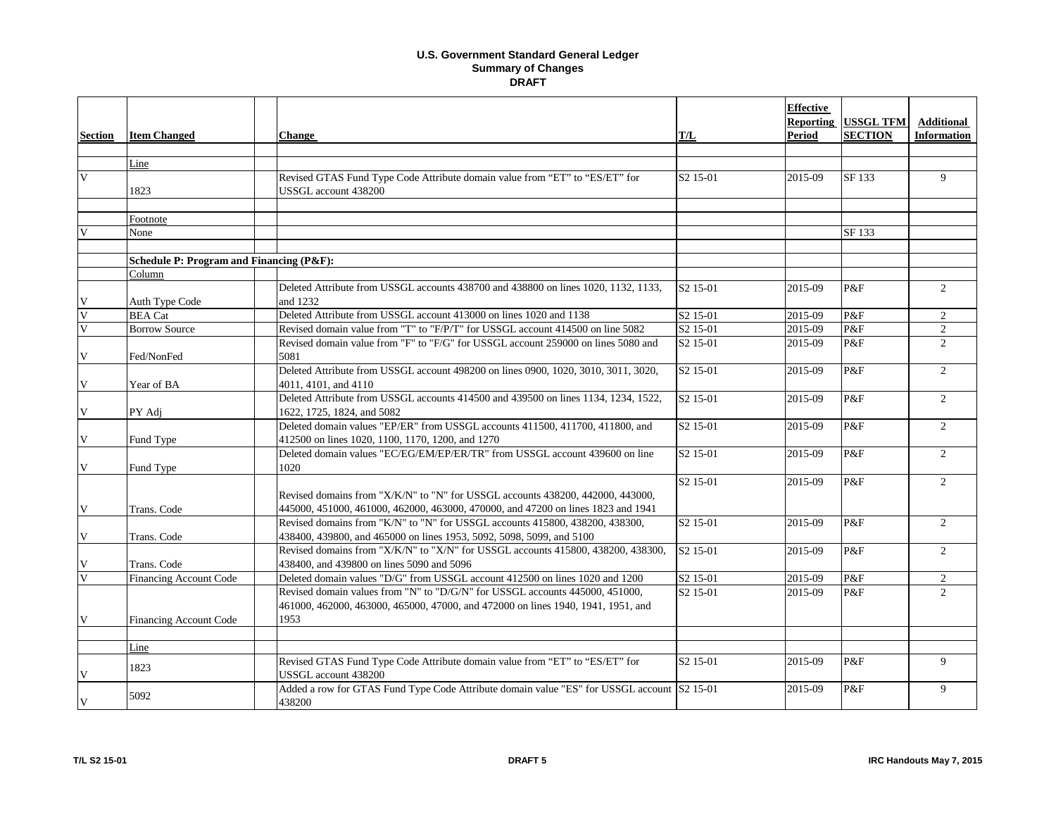|                         |                                          |                                                                                            |                      | <b>Effective</b><br>Reporting | <b>USSGL TFM</b> | <b>Additional</b>  |
|-------------------------|------------------------------------------|--------------------------------------------------------------------------------------------|----------------------|-------------------------------|------------------|--------------------|
| <b>Section</b>          | <b>Item Changed</b>                      | <b>Change</b>                                                                              | T/L                  | <b>Period</b>                 | <b>SECTION</b>   | <b>Information</b> |
|                         |                                          |                                                                                            |                      |                               |                  |                    |
|                         | Line                                     |                                                                                            |                      |                               |                  |                    |
| $\overline{\mathsf{V}}$ |                                          | Revised GTAS Fund Type Code Attribute domain value from "ET" to "ES/ET" for                | S <sub>2</sub> 15-01 | 2015-09                       | SF 133           | 9                  |
|                         | 1823                                     | USSGL account 438200                                                                       |                      |                               |                  |                    |
|                         |                                          |                                                                                            |                      |                               |                  |                    |
|                         | Footnote                                 |                                                                                            |                      |                               |                  |                    |
|                         | None                                     |                                                                                            |                      |                               | SF 133           |                    |
|                         | Schedule P: Program and Financing (P&F): |                                                                                            |                      |                               |                  |                    |
|                         | Column                                   |                                                                                            |                      |                               |                  |                    |
|                         |                                          | Deleted Attribute from USSGL accounts 438700 and 438800 on lines 1020, 1132, 1133,         | S <sub>2</sub> 15-01 | 2015-09                       | P&F              | $\overline{2}$     |
| V                       | Auth Type Code                           | and 1232                                                                                   |                      |                               |                  |                    |
| $\overline{\mathbf{V}}$ | <b>BEA</b> Cat                           | Deleted Attribute from USSGL account 413000 on lines 1020 and 1138                         | S <sub>2</sub> 15-01 | 2015-09                       | P&F              | $\overline{2}$     |
| $\overline{\mathbf{V}}$ | <b>Borrow Source</b>                     | Revised domain value from "T" to "F/P/T" for USSGL account 414500 on line 5082             | S <sub>2</sub> 15-01 | 2015-09                       | P&F              | $\overline{c}$     |
|                         |                                          | Revised domain value from "F" to "F/G" for USSGL account 259000 on lines 5080 and          | S <sub>2</sub> 15-01 | 2015-09                       | P&F              | $\overline{2}$     |
| V                       | Fed/NonFed                               | 5081                                                                                       |                      |                               |                  |                    |
|                         |                                          | Deleted Attribute from USSGL account 498200 on lines 0900, 1020, 3010, 3011, 3020,         | S2 15-01             | 2015-09                       | P&F              | $\overline{2}$     |
| V                       | Year of BA                               | 4011, 4101, and 4110                                                                       |                      |                               |                  |                    |
|                         |                                          | Deleted Attribute from USSGL accounts 414500 and 439500 on lines 1134, 1234, 1522,         | S <sub>2</sub> 15-01 | 2015-09                       | P&F              | $\overline{2}$     |
| V                       | PY Adj                                   | 1622, 1725, 1824, and 5082                                                                 |                      |                               |                  |                    |
|                         |                                          | Deleted domain values "EP/ER" from USSGL accounts 411500, 411700, 411800, and              | S <sub>2</sub> 15-01 | 2015-09                       | P&F              | $\overline{2}$     |
| V                       | Fund Type                                | 412500 on lines 1020, 1100, 1170, 1200, and 1270                                           |                      |                               |                  |                    |
|                         |                                          | Deleted domain values "EC/EG/EM/EP/ER/TR" from USSGL account 439600 on line                | S2 15-01             | 2015-09                       | P&F              | $\overline{2}$     |
| V                       | Fund Type                                | 1020                                                                                       | S <sub>2</sub> 15-01 | 2015-09                       | P&F              | $\overline{2}$     |
|                         |                                          | Revised domains from "X/K/N" to "N" for USSGL accounts 438200, 442000, 443000,             |                      |                               |                  |                    |
| V                       | Trans. Code                              | 445000, 451000, 461000, 462000, 463000, 470000, and 47200 on lines 1823 and 1941           |                      |                               |                  |                    |
|                         |                                          | Revised domains from "K/N" to "N" for USSGL accounts 415800, 438200, 438300,               | S <sub>2</sub> 15-01 | 2015-09                       | P&F              | $\overline{2}$     |
| V                       | Trans. Code                              | 438400, 439800, and 465000 on lines 1953, 5092, 5098, 5099, and 5100                       |                      |                               |                  |                    |
|                         |                                          | Revised domains from "X/K/N" to "X/N" for USSGL accounts 415800, 438200, 438300,           | S2 15-01             | 2015-09                       | P&F              | $\overline{2}$     |
| V                       | Trans. Code                              | 438400, and 439800 on lines 5090 and 5096                                                  |                      |                               |                  |                    |
| V                       | <b>Financing Account Code</b>            | Deleted domain values "D/G" from USSGL account 412500 on lines 1020 and 1200               | S <sub>2</sub> 15-01 | 2015-09                       | P&F              | $\overline{2}$     |
|                         |                                          | Revised domain values from "N" to "D/G/N" for USSGL accounts 445000, 451000,               | S <sub>2</sub> 15-01 | 2015-09                       | P&F              | $\overline{2}$     |
|                         |                                          | 461000, 462000, 463000, 465000, 47000, and 472000 on lines 1940, 1941, 1951, and           |                      |                               |                  |                    |
| V                       | <b>Financing Account Code</b>            | 1953                                                                                       |                      |                               |                  |                    |
|                         |                                          |                                                                                            |                      |                               |                  |                    |
|                         | Line                                     |                                                                                            |                      |                               |                  |                    |
|                         | 1823                                     | Revised GTAS Fund Type Code Attribute domain value from "ET" to "ES/ET" for                | $S2$ 15-01           | 2015-09                       | P&F              | 9                  |
| $\mathbf{V}$            |                                          | USSGL account 438200                                                                       |                      |                               |                  |                    |
|                         | 5092                                     | Added a row for GTAS Fund Type Code Attribute domain value "ES" for USSGL account S2 15-01 |                      | 2015-09                       | P&F              | 9                  |
| V                       |                                          | 438200                                                                                     |                      |                               |                  |                    |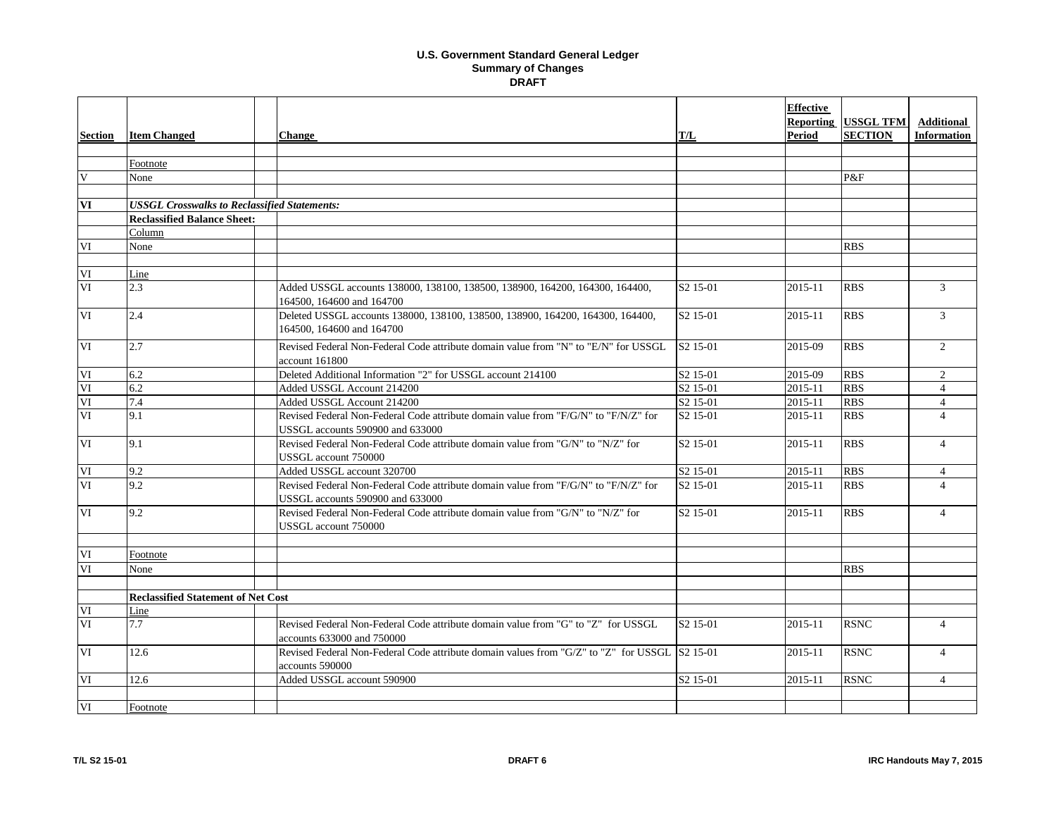|                |                                                     |                                                                                                                         |                      | <b>Effective</b> |                            |                          |
|----------------|-----------------------------------------------------|-------------------------------------------------------------------------------------------------------------------------|----------------------|------------------|----------------------------|--------------------------|
|                |                                                     |                                                                                                                         |                      |                  | <b>Reporting USSGL TFM</b> | <b>Additional</b>        |
| <b>Section</b> | <b>Item Changed</b>                                 | <b>Change</b>                                                                                                           | T/L                  | <b>Period</b>    | <b>SECTION</b>             | <b>Information</b>       |
|                |                                                     |                                                                                                                         |                      |                  |                            |                          |
|                | Footnote                                            |                                                                                                                         |                      |                  |                            |                          |
| $\mathbf{V}$   | None                                                |                                                                                                                         |                      |                  | P&F                        |                          |
|                |                                                     |                                                                                                                         |                      |                  |                            |                          |
| VI             | <b>USSGL Crosswalks to Reclassified Statements:</b> |                                                                                                                         |                      |                  |                            |                          |
|                | <b>Reclassified Balance Sheet:</b>                  |                                                                                                                         |                      |                  |                            |                          |
|                | Column                                              |                                                                                                                         |                      |                  |                            |                          |
| VI             | None                                                |                                                                                                                         |                      |                  | <b>RBS</b>                 |                          |
|                |                                                     |                                                                                                                         |                      |                  |                            |                          |
| VI             | Line                                                |                                                                                                                         |                      |                  |                            |                          |
| VI             | 2.3                                                 | Added USSGL accounts 138000, 138100, 138500, 138900, 164200, 164300, 164400,<br>164500, 164600 and 164700               | S <sub>2</sub> 15-01 | 2015-11          | <b>RBS</b>                 | $\mathfrak{Z}$           |
| VI             | 2.4                                                 | Deleted USSGL accounts 138000, 138100, 138500, 138900, 164200, 164300, 164400,<br>164500, 164600 and 164700             | S <sub>2</sub> 15-01 | 2015-11          | <b>RBS</b>                 | $\overline{3}$           |
| VI             | 2.7                                                 | Revised Federal Non-Federal Code attribute domain value from "N" to "E/N" for USSGL<br>account 161800                   | S <sub>2</sub> 15-01 | 2015-09          | <b>RBS</b>                 | $\overline{2}$           |
| VI             | 6.2                                                 | Deleted Additional Information "2" for USSGL account 214100                                                             | S <sub>2</sub> 15-01 | 2015-09          | <b>RBS</b>                 | $\overline{2}$           |
| VI             | 6.2                                                 | Added USSGL Account 214200                                                                                              | S <sub>2</sub> 15-01 | 2015-11          | <b>RBS</b>                 | $\overline{4}$           |
| VI             | 7.4                                                 | Added USSGL Account 214200                                                                                              | S <sub>2</sub> 15-01 | 2015-11          | <b>RBS</b>                 | $\overline{4}$           |
| VI             | 9.1                                                 | Revised Federal Non-Federal Code attribute domain value from "F/G/N" to "F/N/Z" for<br>USSGL accounts 590900 and 633000 | S <sub>2</sub> 15-01 | 2015-11          | <b>RBS</b>                 | $\overline{\mathcal{L}}$ |
| VI             | 9.1                                                 | Revised Federal Non-Federal Code attribute domain value from "G/N" to "N/Z" for<br>USSGL account 750000                 | S <sub>2</sub> 15-01 | 2015-11          | <b>RBS</b>                 | $\overline{4}$           |
| VI             | 9.2                                                 | Added USSGL account 320700                                                                                              | S <sub>2</sub> 15-01 | 2015-11          | <b>RBS</b>                 | $\overline{4}$           |
| VI             | 9.2                                                 | Revised Federal Non-Federal Code attribute domain value from "F/G/N" to "F/N/Z" for<br>USSGL accounts 590900 and 633000 | S <sub>2</sub> 15-01 | 2015-11          | <b>RBS</b>                 | $\overline{4}$           |
| VI             | 9.2                                                 | Revised Federal Non-Federal Code attribute domain value from "G/N" to "N/Z" for<br>USSGL account 750000                 | S2 15-01             | 2015-11          | <b>RBS</b>                 | $\overline{4}$           |
| VI             | Footnote                                            |                                                                                                                         |                      |                  |                            |                          |
| VI             | None                                                |                                                                                                                         |                      |                  | <b>RBS</b>                 |                          |
|                | <b>Reclassified Statement of Net Cost</b>           |                                                                                                                         |                      |                  |                            |                          |
| VI             | Line                                                |                                                                                                                         |                      |                  |                            |                          |
| VI             | 7.7                                                 | Revised Federal Non-Federal Code attribute domain value from "G" to "Z" for USSGL<br>accounts 633000 and 750000         | S <sub>2</sub> 15-01 | 2015-11          | <b>RSNC</b>                | $\overline{4}$           |
| VI             | 12.6                                                | Revised Federal Non-Federal Code attribute domain values from "G/Z" to "Z" for USSGL S2 15-01<br>accounts 590000        |                      | 2015-11          | <b>RSNC</b>                | $\overline{4}$           |
| VI             | 12.6                                                | Added USSGL account 590900                                                                                              | S2 15-01             | 2015-11          | <b>RSNC</b>                | $\overline{4}$           |
| VI             | Footnote                                            |                                                                                                                         |                      |                  |                            |                          |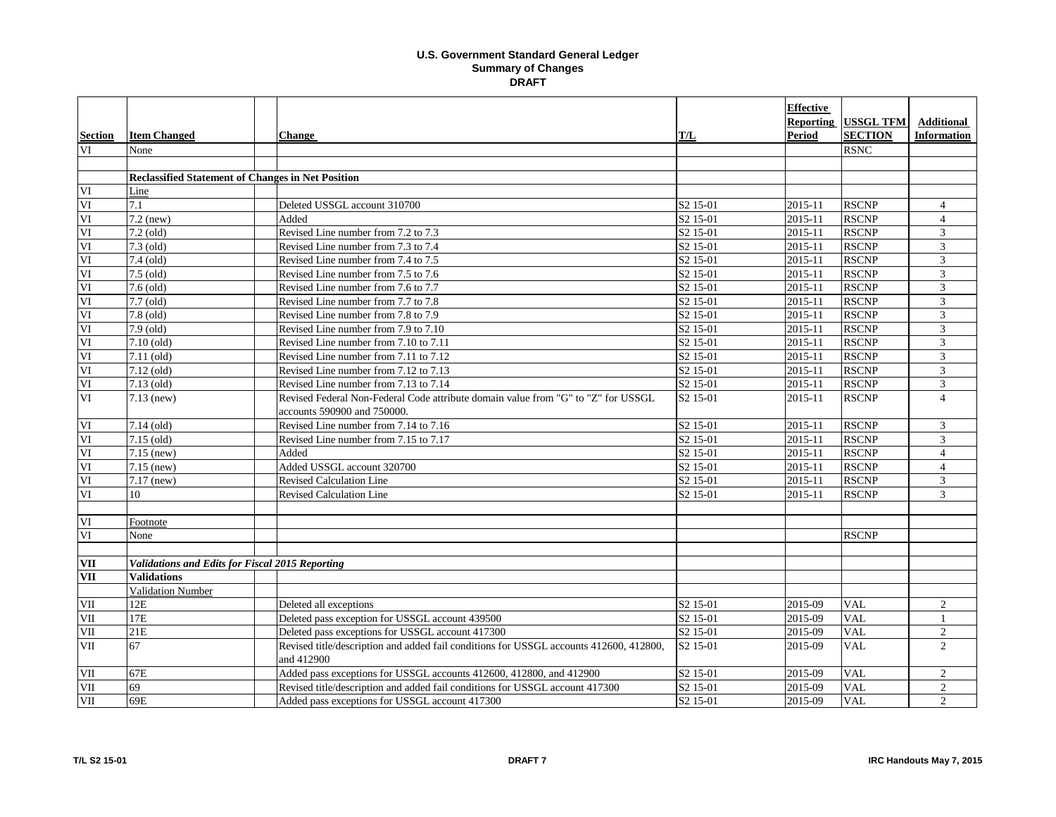|                |                                                          |                                                                                        |                       | <b>Effective</b> |                  |                    |
|----------------|----------------------------------------------------------|----------------------------------------------------------------------------------------|-----------------------|------------------|------------------|--------------------|
|                |                                                          |                                                                                        |                       | <b>Reporting</b> | <b>USSGL TFM</b> | <b>Additional</b>  |
| <b>Section</b> | <b>Item Changed</b>                                      | <b>Change</b>                                                                          | T/L                   | Period           | <b>SECTION</b>   | <b>Information</b> |
| VI             | None                                                     |                                                                                        |                       |                  | <b>RSNC</b>      |                    |
|                |                                                          |                                                                                        |                       |                  |                  |                    |
|                | <b>Reclassified Statement of Changes in Net Position</b> |                                                                                        |                       |                  |                  |                    |
| VI             | Line                                                     |                                                                                        |                       |                  |                  |                    |
| VI             | 7.1                                                      | Deleted USSGL account 310700                                                           | S <sub>2</sub> 15-01  | 2015-11          | <b>RSCNP</b>     | 4                  |
| VI             | $7.2$ (new)                                              | Added                                                                                  | S <sub>2</sub> 15-01  | 2015-11          | <b>RSCNP</b>     | $\overline{4}$     |
| VI             | $7.2$ (old)                                              | Revised Line number from 7.2 to 7.3                                                    | S <sub>2</sub> 15-01  | 2015-11          | <b>RSCNP</b>     | 3                  |
| VI             | $7.3$ (old)                                              | Revised Line number from 7.3 to 7.4                                                    | S <sub>2</sub> 15-01  | 2015-11          | <b>RSCNP</b>     | 3                  |
| VI             | $7.4$ (old)                                              | Revised Line number from 7.4 to 7.5                                                    | S <sub>2</sub> 15-01  | 2015-11          | <b>RSCNP</b>     | 3                  |
| VI             | $7.5$ (old)                                              | Revised Line number from 7.5 to 7.6                                                    | S <sub>2</sub> 15-01  | 2015-11          | <b>RSCNP</b>     | 3                  |
| VI             | $7.6$ (old)                                              | Revised Line number from 7.6 to 7.7                                                    | S <sub>2</sub> 15-01  | 2015-11          | <b>RSCNP</b>     | 3                  |
| VI             | $7.7$ (old)                                              | Revised Line number from 7.7 to 7.8                                                    | S <sub>2</sub> 15-01  | 2015-11          | <b>RSCNP</b>     | $\overline{3}$     |
| VI             | $7.8$ (old)                                              | Revised Line number from 7.8 to 7.9                                                    | S <sub>2</sub> 15-01  | 2015-11          | <b>RSCNP</b>     | 3                  |
| VI             | $7.9$ (old)                                              | Revised Line number from 7.9 to 7.10                                                   | S <sub>2</sub> 15-01  | 2015-11          | <b>RSCNP</b>     | 3                  |
| VI             | $7.10$ (old)                                             | Revised Line number from 7.10 to 7.11                                                  | S <sub>2</sub> 15-01  | 2015-11          | <b>RSCNP</b>     | 3                  |
| VI             | $7.11$ (old)                                             | Revised Line number from 7.11 to 7.12                                                  | S <sub>2</sub> 15-01  | 2015-11          | <b>RSCNP</b>     | 3                  |
| VI             | $7.12$ (old)                                             | Revised Line number from 7.12 to 7.13                                                  | S <sub>2</sub> 15-01  | 2015-11          | <b>RSCNP</b>     | 3                  |
| VI             | $7.13$ (old)                                             | Revised Line number from 7.13 to 7.14                                                  | S <sub>2</sub> 15-01  | 2015-11          | <b>RSCNP</b>     | 3                  |
| VI             | $7.13$ (new)                                             | Revised Federal Non-Federal Code attribute domain value from "G" to "Z" for USSGL      | S <sub>2</sub> 15-01  | 2015-11          | <b>RSCNP</b>     | $\overline{4}$     |
|                |                                                          | accounts 590900 and 750000.                                                            |                       |                  |                  |                    |
| VI             | $7.14$ (old)                                             | Revised Line number from 7.14 to 7.16                                                  | S <sub>2</sub> 15-01  | 2015-11          | <b>RSCNP</b>     | 3                  |
| VI             | $7.15$ (old)                                             | Revised Line number from 7.15 to 7.17                                                  | $\overline{S2}$ 15-01 | 2015-11          | <b>RSCNP</b>     | 3                  |
| VI             | $7.15$ (new)                                             | Added                                                                                  | S <sub>2</sub> 15-01  | 2015-11          | <b>RSCNP</b>     | $\overline{4}$     |
| VI             | $7.15$ (new)                                             | Added USSGL account 320700                                                             | S <sub>2</sub> 15-01  | 2015-11          | <b>RSCNP</b>     | $\overline{4}$     |
| VI             | $7.17$ (new)                                             | <b>Revised Calculation Line</b>                                                        | S <sub>2</sub> 15-01  | 2015-11          | <b>RSCNP</b>     | 3                  |
| VI             | 10                                                       | <b>Revised Calculation Line</b>                                                        | S <sub>2</sub> 15-01  | 2015-11          | <b>RSCNP</b>     | $\overline{3}$     |
|                |                                                          |                                                                                        |                       |                  |                  |                    |
| VI             | Footnote                                                 |                                                                                        |                       |                  |                  |                    |
| VI             | None                                                     |                                                                                        |                       |                  | <b>RSCNP</b>     |                    |
| VII            | Validations and Edits for Fiscal 2015 Reporting          |                                                                                        |                       |                  |                  |                    |
| <b>VII</b>     | <b>Validations</b>                                       |                                                                                        |                       |                  |                  |                    |
|                | <b>Validation Number</b>                                 |                                                                                        |                       |                  |                  |                    |
| VII            | 12E                                                      | Deleted all exceptions                                                                 | S <sub>2</sub> 15-01  | 2015-09          | <b>VAL</b>       | $\overline{2}$     |
| VII            | 17E                                                      | Deleted pass exception for USSGL account 439500                                        | S <sub>2</sub> 15-01  | 2015-09          | <b>VAL</b>       |                    |
| <b>VII</b>     | 21E                                                      | Deleted pass exceptions for USSGL account 417300                                       | S <sub>2</sub> 15-01  | 2015-09          | <b>VAL</b>       | $\overline{2}$     |
| VII            | 67                                                       | Revised title/description and added fail conditions for USSGL accounts 412600, 412800, | S <sub>2</sub> 15-01  | 2015-09          | <b>VAL</b>       | $\overline{2}$     |
|                |                                                          | and 412900                                                                             |                       |                  |                  |                    |
| VII            | 67E                                                      | Added pass exceptions for USSGL accounts 412600, 412800, and 412900                    | S <sub>2</sub> 15-01  | 2015-09          | <b>VAL</b>       | $\overline{2}$     |
| VII            | 69                                                       | Revised title/description and added fail conditions for USSGL account 417300           | S <sub>2</sub> 15-01  | 2015-09          | <b>VAL</b>       | $\overline{2}$     |
| VII            | 69E                                                      | Added pass exceptions for USSGL account 417300                                         | S <sub>2</sub> 15-01  | 2015-09          | <b>VAL</b>       | $\overline{2}$     |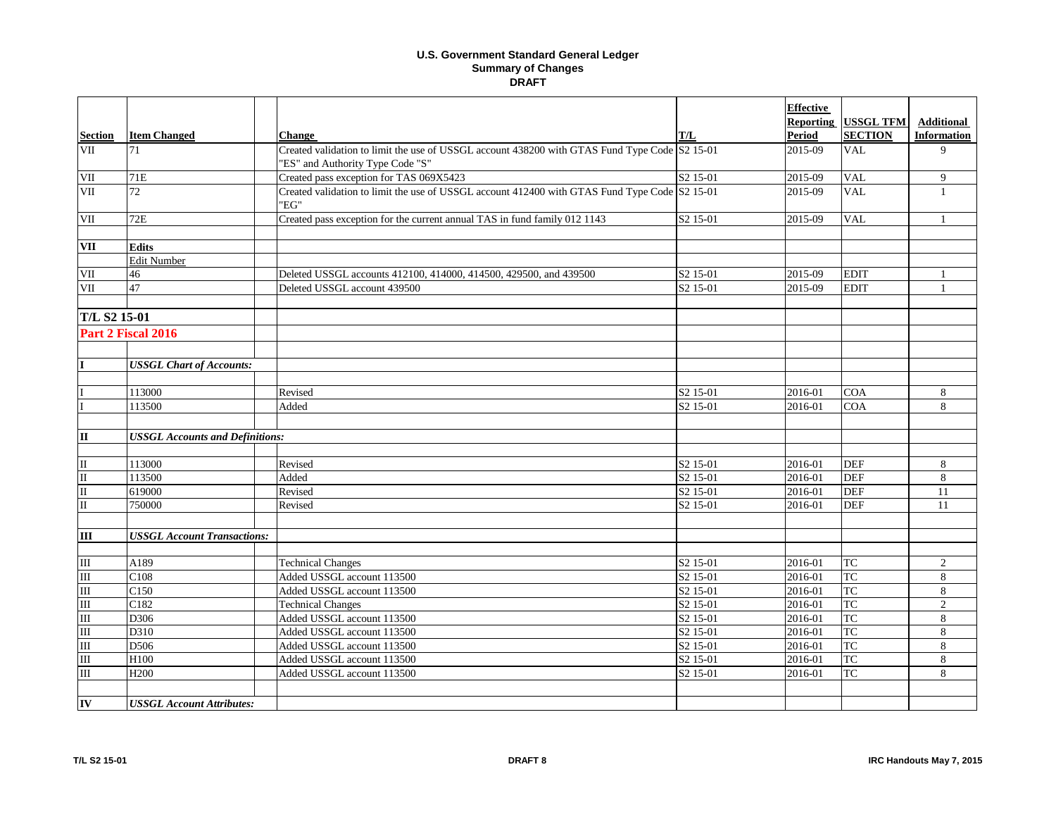|                         |                                        |                                                                                                                                   |                      | <b>Effective</b> |                  |                    |
|-------------------------|----------------------------------------|-----------------------------------------------------------------------------------------------------------------------------------|----------------------|------------------|------------------|--------------------|
|                         |                                        |                                                                                                                                   |                      | Reporting        | <b>USSGL TFM</b> | <b>Additional</b>  |
| <b>Section</b>          | <b>Item Changed</b>                    | <b>Change</b>                                                                                                                     | T/L                  | <b>Period</b>    | <b>SECTION</b>   | <b>Information</b> |
| VII                     | 71                                     | Created validation to limit the use of USSGL account 438200 with GTAS Fund Type Code S2 15-01<br>"ES" and Authority Type Code "S" |                      | 2015-09          | <b>VAL</b>       | 9                  |
| <b>VII</b>              | 71E                                    | Created pass exception for TAS 069X5423                                                                                           | S <sub>2</sub> 15-01 | 2015-09          | <b>VAL</b>       | 9                  |
| VII                     | 72                                     | Created validation to limit the use of USSGL account 412400 with GTAS Fund Type Code S2 15-01<br>"EG"                             |                      | 2015-09          | <b>VAL</b>       |                    |
| VII                     | 72E                                    | Created pass exception for the current annual TAS in fund family 012 1143                                                         | S <sub>2</sub> 15-01 | 2015-09          | <b>VAL</b>       |                    |
| <b>VII</b>              | <b>Edits</b>                           |                                                                                                                                   |                      |                  |                  |                    |
|                         | <b>Edit Number</b>                     |                                                                                                                                   |                      |                  |                  |                    |
| $\rm{VII}$              | 46                                     | Deleted USSGL accounts 412100, 414000, 414500, 429500, and 439500                                                                 | S <sub>2</sub> 15-01 | 2015-09          | <b>EDIT</b>      | $\mathbf{1}$       |
| <b>VII</b>              | 47                                     | Deleted USSGL account 439500                                                                                                      | S <sub>2</sub> 15-01 | 2015-09          | <b>EDIT</b>      | -1                 |
| T/L S2 15-01            |                                        |                                                                                                                                   |                      |                  |                  |                    |
|                         | Part 2 Fiscal 2016                     |                                                                                                                                   |                      |                  |                  |                    |
|                         |                                        |                                                                                                                                   |                      |                  |                  |                    |
| T                       | <b>USSGL Chart of Accounts:</b>        |                                                                                                                                   |                      |                  |                  |                    |
|                         |                                        |                                                                                                                                   |                      |                  |                  |                    |
|                         | 113000                                 | Revised                                                                                                                           | S <sub>2</sub> 15-01 | 2016-01          | <b>COA</b>       | 8                  |
|                         | 113500                                 | Added                                                                                                                             | S <sub>2</sub> 15-01 | 2016-01          | <b>COA</b>       | 8                  |
| $\mathbf{I}$            | <b>USSGL Accounts and Definitions:</b> |                                                                                                                                   |                      |                  |                  |                    |
|                         |                                        |                                                                                                                                   |                      |                  |                  |                    |
| $\mathbf{I}$            | 113000                                 | Revised                                                                                                                           | S <sub>2</sub> 15-01 | 2016-01          | <b>DEF</b>       | 8                  |
| $\overline{\mathbf{u}}$ | 113500                                 | Added                                                                                                                             | S <sub>2</sub> 15-01 | 2016-01          | <b>DEF</b>       | 8                  |
| $\overline{\mathbf{u}}$ | 619000                                 | Revised                                                                                                                           | S <sub>2</sub> 15-01 | 2016-01          | <b>DEF</b>       | 11                 |
| $\overline{\mathbf{u}}$ | 750000                                 | Revised                                                                                                                           | S <sub>2</sub> 15-01 | 2016-01          | <b>DEF</b>       | 11                 |
|                         |                                        |                                                                                                                                   |                      |                  |                  |                    |
| $\overline{III}$        | <b>USSGL Account Transactions:</b>     |                                                                                                                                   |                      |                  |                  |                    |
| $\rm III$               | A189                                   | <b>Technical Changes</b>                                                                                                          | S <sub>2</sub> 15-01 | 2016-01          | <b>TC</b>        | $\overline{2}$     |
| $\overline{m}$          | C108                                   | Added USSGL account 113500                                                                                                        | S <sub>2</sub> 15-01 | 2016-01          | TC               | $\,8\,$            |
| $\overline{\rm{III}}$   | C150                                   | Added USSGL account 113500                                                                                                        | S <sub>2</sub> 15-01 | 2016-01          | <b>TC</b>        | 8                  |
| $\overline{\rm III}$    | C182                                   | <b>Technical Changes</b>                                                                                                          | S <sub>2</sub> 15-01 | 2016-01          | <b>TC</b>        | $\overline{2}$     |
| Ш                       | D306                                   | Added USSGL account 113500                                                                                                        | S <sub>2</sub> 15-01 | 2016-01          | <b>TC</b>        | 8                  |
| $\overline{\mathbb{H}}$ | D310                                   | Added USSGL account 113500                                                                                                        | S <sub>2</sub> 15-01 | 2016-01          | TC               | 8                  |
| $\overline{m}$          | D506                                   | Added USSGL account 113500                                                                                                        | S <sub>2</sub> 15-01 | 2016-01          | TC               | 8                  |
| Ш                       | H100                                   | Added USSGL account 113500                                                                                                        | S2 15-01             | 2016-01          | <b>TC</b>        | 8                  |
| $\rm III$               | H <sub>200</sub>                       | Added USSGL account 113500                                                                                                        | S <sub>2</sub> 15-01 | 2016-01          | <b>TC</b>        | 8                  |
|                         |                                        |                                                                                                                                   |                      |                  |                  |                    |
| IV                      | <b>USSGL Account Attributes:</b>       |                                                                                                                                   |                      |                  |                  |                    |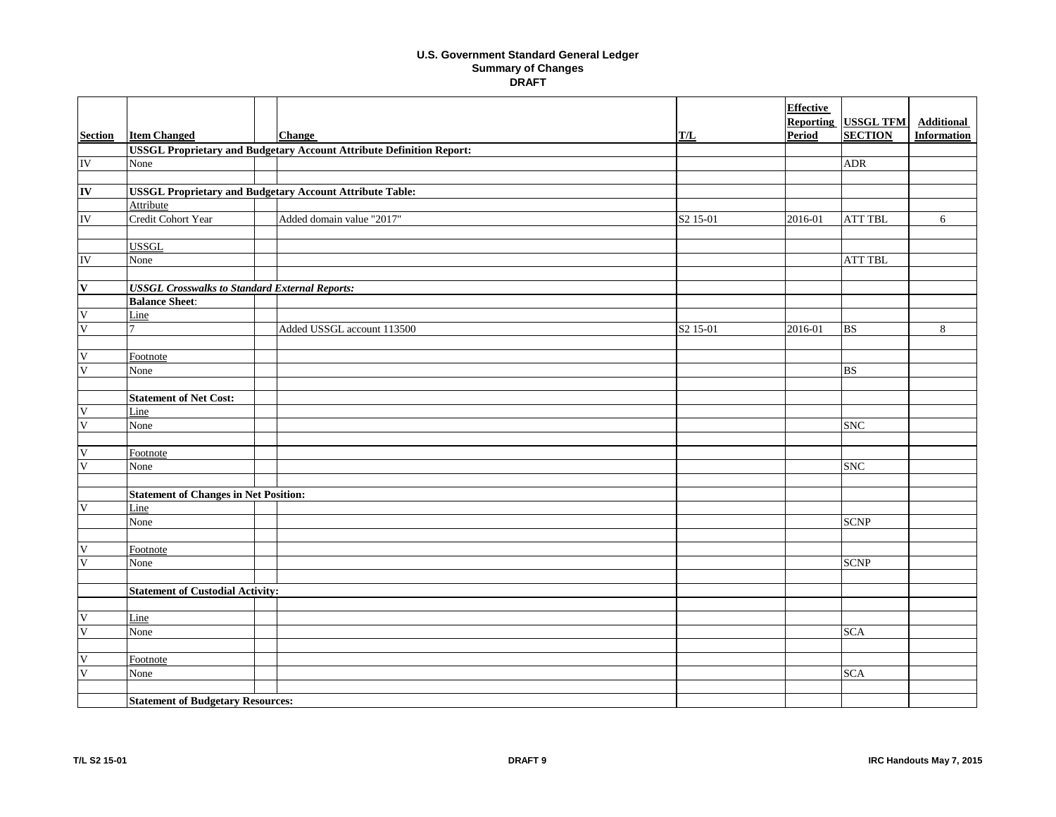|                           |                                                                 |  |                                                                             |                      | <b>Effective</b>                  |                                    |                                         |  |
|---------------------------|-----------------------------------------------------------------|--|-----------------------------------------------------------------------------|----------------------|-----------------------------------|------------------------------------|-----------------------------------------|--|
| <b>Section</b>            | <b>Item Changed</b>                                             |  | <b>Change</b>                                                               | T/L                  | <b>Reporting</b><br><b>Period</b> | <b>USSGL TFM</b><br><b>SECTION</b> | <b>Additional</b><br><b>Information</b> |  |
|                           |                                                                 |  | <b>USSGL Proprietary and Budgetary Account Attribute Definition Report:</b> |                      |                                   |                                    |                                         |  |
| ${\rm IV}$                | None                                                            |  |                                                                             |                      |                                   | ${\sf ADR}$                        |                                         |  |
|                           |                                                                 |  |                                                                             |                      |                                   |                                    |                                         |  |
| IV                        | <b>USSGL Proprietary and Budgetary Account Attribute Table:</b> |  |                                                                             |                      |                                   |                                    |                                         |  |
|                           | Attribute                                                       |  |                                                                             |                      |                                   |                                    |                                         |  |
| $\overline{\text{IV}}$    | Credit Cohort Year                                              |  | Added domain value "2017"                                                   | S <sub>2</sub> 15-01 | 2016-01                           | <b>ATT TBL</b>                     | 6                                       |  |
|                           |                                                                 |  |                                                                             |                      |                                   |                                    |                                         |  |
|                           | <b>USSGL</b>                                                    |  |                                                                             |                      |                                   |                                    |                                         |  |
| IV                        | None                                                            |  |                                                                             |                      |                                   | <b>ATT TBL</b>                     |                                         |  |
|                           |                                                                 |  |                                                                             |                      |                                   |                                    |                                         |  |
| $\mathbf{V}$              | <b>USSGL Crosswalks to Standard External Reports:</b>           |  |                                                                             |                      |                                   |                                    |                                         |  |
|                           | <b>Balance Sheet:</b>                                           |  |                                                                             |                      |                                   |                                    |                                         |  |
| $\mathbf V$               | Line                                                            |  |                                                                             |                      |                                   |                                    |                                         |  |
| $\overline{\mathsf{V}}$   |                                                                 |  | Added USSGL account 113500                                                  | S <sub>2</sub> 15-01 | $2016 - 01$                       | <b>BS</b>                          | 8                                       |  |
|                           |                                                                 |  |                                                                             |                      |                                   |                                    |                                         |  |
| V                         | Footnote                                                        |  |                                                                             |                      |                                   |                                    |                                         |  |
| $\overline{\mathsf{V}}$   | None                                                            |  |                                                                             |                      |                                   | BS                                 |                                         |  |
|                           |                                                                 |  |                                                                             |                      |                                   |                                    |                                         |  |
|                           | <b>Statement of Net Cost:</b>                                   |  |                                                                             |                      |                                   |                                    |                                         |  |
| V                         | Line                                                            |  |                                                                             |                      |                                   |                                    |                                         |  |
| $\overline{\mathsf{V}}$   | None                                                            |  |                                                                             |                      |                                   | <b>SNC</b>                         |                                         |  |
|                           |                                                                 |  |                                                                             |                      |                                   |                                    |                                         |  |
| V                         | Footnote                                                        |  |                                                                             |                      |                                   |                                    |                                         |  |
| $\overline{\mathsf{V}}$   | None                                                            |  |                                                                             |                      |                                   | <b>SNC</b>                         |                                         |  |
|                           |                                                                 |  |                                                                             |                      |                                   |                                    |                                         |  |
|                           | <b>Statement of Changes in Net Position:</b>                    |  |                                                                             |                      |                                   |                                    |                                         |  |
| $\ensuremath{\mathsf{V}}$ | Line                                                            |  |                                                                             |                      |                                   |                                    |                                         |  |
|                           | None                                                            |  |                                                                             |                      |                                   | <b>SCNP</b>                        |                                         |  |
|                           |                                                                 |  |                                                                             |                      |                                   |                                    |                                         |  |
| V                         | Footnote                                                        |  |                                                                             |                      |                                   |                                    |                                         |  |
| $\overline{\mathsf{V}}$   | None                                                            |  |                                                                             |                      |                                   | <b>SCNP</b>                        |                                         |  |
|                           |                                                                 |  |                                                                             |                      |                                   |                                    |                                         |  |
|                           | <b>Statement of Custodial Activity:</b>                         |  |                                                                             |                      |                                   |                                    |                                         |  |
|                           |                                                                 |  |                                                                             |                      |                                   |                                    |                                         |  |
| $\mathbf V$               | Line                                                            |  |                                                                             |                      |                                   |                                    |                                         |  |
| $\overline{\mathsf{V}}$   | None                                                            |  |                                                                             |                      |                                   | <b>SCA</b>                         |                                         |  |
|                           |                                                                 |  |                                                                             |                      |                                   |                                    |                                         |  |
| $\mathbf V$               | Footnote                                                        |  |                                                                             |                      |                                   |                                    |                                         |  |
| V                         | None                                                            |  |                                                                             |                      |                                   | <b>SCA</b>                         |                                         |  |
|                           |                                                                 |  |                                                                             |                      |                                   |                                    |                                         |  |
|                           | <b>Statement of Budgetary Resources:</b>                        |  |                                                                             |                      |                                   |                                    |                                         |  |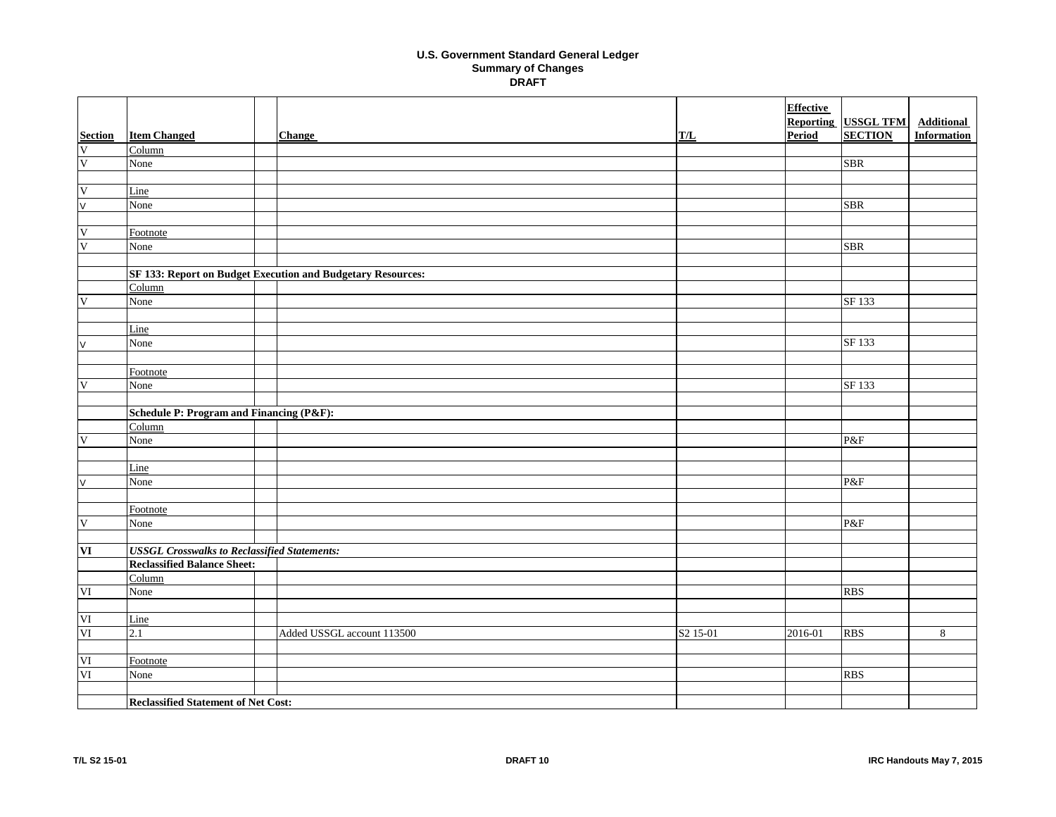|                                     |                                                     |  |                                                             |                      | <b>Effective</b> |                  |                    |  |
|-------------------------------------|-----------------------------------------------------|--|-------------------------------------------------------------|----------------------|------------------|------------------|--------------------|--|
|                                     |                                                     |  |                                                             |                      | <b>Reporting</b> | <b>USSGL TFM</b> | <b>Additional</b>  |  |
| $\frac{\textbf{Section}}{\text{V}}$ | <b>Item Changed</b>                                 |  | <b>Change</b>                                               | TL                   | Period           | <b>SECTION</b>   | <b>Information</b> |  |
|                                     | Column                                              |  |                                                             |                      |                  |                  |                    |  |
| $\overline{\mathsf{V}}$             | None                                                |  |                                                             |                      |                  | <b>SBR</b>       |                    |  |
|                                     |                                                     |  |                                                             |                      |                  |                  |                    |  |
| $\mathbf{V}$                        | Line                                                |  |                                                             |                      |                  |                  |                    |  |
| $\overline{\mathsf{v}}$             | None                                                |  |                                                             |                      |                  | <b>SBR</b>       |                    |  |
|                                     |                                                     |  |                                                             |                      |                  |                  |                    |  |
| $\mathbf V$                         | Footnote                                            |  |                                                             |                      |                  |                  |                    |  |
| $\overline{\mathsf{V}}$             | None                                                |  |                                                             |                      |                  | SBR              |                    |  |
|                                     |                                                     |  |                                                             |                      |                  |                  |                    |  |
|                                     |                                                     |  | SF 133: Report on Budget Execution and Budgetary Resources: |                      |                  |                  |                    |  |
|                                     | Column                                              |  |                                                             |                      |                  |                  |                    |  |
| V                                   | None                                                |  |                                                             |                      |                  | SF 133           |                    |  |
|                                     |                                                     |  |                                                             |                      |                  |                  |                    |  |
|                                     | Line                                                |  |                                                             |                      |                  |                  |                    |  |
| V                                   | None                                                |  |                                                             |                      |                  | SF 133           |                    |  |
|                                     |                                                     |  |                                                             |                      |                  |                  |                    |  |
|                                     | Footnote                                            |  |                                                             |                      |                  |                  |                    |  |
| $\overline{\mathsf{V}}$             | None                                                |  |                                                             |                      |                  | SF 133           |                    |  |
|                                     |                                                     |  |                                                             |                      |                  |                  |                    |  |
|                                     | Schedule P: Program and Financing (P&F):            |  |                                                             |                      |                  |                  |                    |  |
|                                     | Column                                              |  |                                                             |                      |                  |                  |                    |  |
| $\mathbf V$                         | None                                                |  |                                                             |                      |                  | P&F              |                    |  |
|                                     |                                                     |  |                                                             |                      |                  |                  |                    |  |
|                                     | Line                                                |  |                                                             |                      |                  |                  |                    |  |
| V                                   | None                                                |  |                                                             |                      |                  | P&F              |                    |  |
|                                     |                                                     |  |                                                             |                      |                  |                  |                    |  |
|                                     | Footnote                                            |  |                                                             |                      |                  |                  |                    |  |
| $\mathbf V$                         | None                                                |  |                                                             |                      |                  | P&F              |                    |  |
|                                     |                                                     |  |                                                             |                      |                  |                  |                    |  |
| $\overline{\mathbf{VI}}$            | <b>USSGL Crosswalks to Reclassified Statements:</b> |  |                                                             |                      |                  |                  |                    |  |
|                                     | <b>Reclassified Balance Sheet:</b>                  |  |                                                             |                      |                  |                  |                    |  |
|                                     | Column                                              |  |                                                             |                      |                  |                  |                    |  |
| VI                                  | None                                                |  |                                                             |                      |                  | <b>RBS</b>       |                    |  |
|                                     |                                                     |  |                                                             |                      |                  |                  |                    |  |
| $\rm{VI}$                           | Line                                                |  |                                                             |                      |                  |                  |                    |  |
| VI                                  | 2.1                                                 |  | Added USSGL account 113500                                  | S <sub>2</sub> 15-01 | 2016-01          | <b>RBS</b>       | $\sqrt{8}$         |  |
|                                     |                                                     |  |                                                             |                      |                  |                  |                    |  |
| VI                                  | Footnote                                            |  |                                                             |                      |                  |                  |                    |  |
| $\mathbf{VI}$                       | None                                                |  |                                                             |                      |                  | <b>RBS</b>       |                    |  |
|                                     |                                                     |  |                                                             |                      |                  |                  |                    |  |
|                                     | <b>Reclassified Statement of Net Cost:</b>          |  |                                                             |                      |                  |                  |                    |  |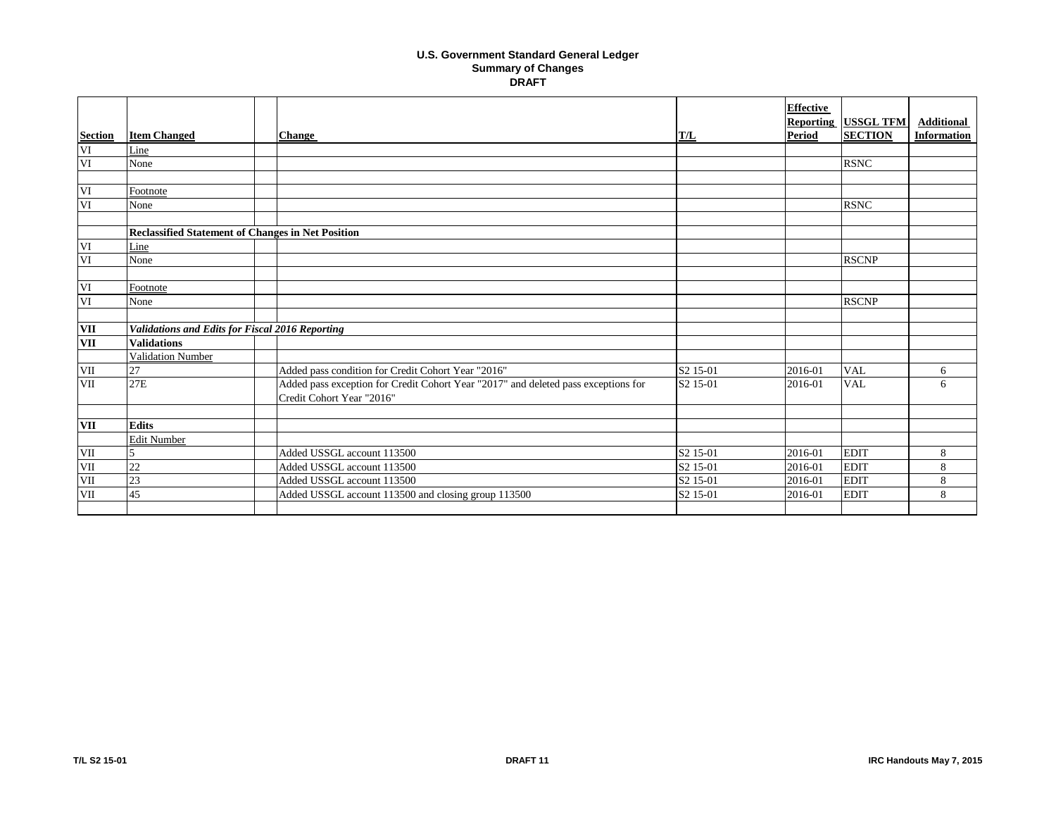|                |                                                          |                                                                                                                 |                      | <b>Effective</b><br><b>Reporting</b> | <b>USSGL TFM</b> | <b>Additional</b>  |
|----------------|----------------------------------------------------------|-----------------------------------------------------------------------------------------------------------------|----------------------|--------------------------------------|------------------|--------------------|
| <b>Section</b> | <b>Item Changed</b>                                      | <b>Change</b>                                                                                                   | T/L                  | <b>Period</b>                        | <b>SECTION</b>   | <b>Information</b> |
| VI             | Line                                                     |                                                                                                                 |                      |                                      |                  |                    |
| VI             | None                                                     |                                                                                                                 |                      |                                      | <b>RSNC</b>      |                    |
|                |                                                          |                                                                                                                 |                      |                                      |                  |                    |
| VI             | Footnote                                                 |                                                                                                                 |                      |                                      |                  |                    |
| VI             | None                                                     |                                                                                                                 |                      |                                      | <b>RSNC</b>      |                    |
|                |                                                          |                                                                                                                 |                      |                                      |                  |                    |
|                | <b>Reclassified Statement of Changes in Net Position</b> |                                                                                                                 |                      |                                      |                  |                    |
| VI             | Line                                                     |                                                                                                                 |                      |                                      |                  |                    |
| VI             | None                                                     |                                                                                                                 |                      |                                      | <b>RSCNP</b>     |                    |
|                |                                                          |                                                                                                                 |                      |                                      |                  |                    |
| VI             | Footnote                                                 |                                                                                                                 |                      |                                      |                  |                    |
| VI             | None                                                     |                                                                                                                 |                      |                                      | <b>RSCNP</b>     |                    |
|                |                                                          |                                                                                                                 |                      |                                      |                  |                    |
| <b>VII</b>     | Validations and Edits for Fiscal 2016 Reporting          |                                                                                                                 |                      |                                      |                  |                    |
| <b>VII</b>     | <b>Validations</b>                                       |                                                                                                                 |                      |                                      |                  |                    |
|                | Validation Number                                        |                                                                                                                 |                      |                                      |                  |                    |
| <b>VII</b>     | 27                                                       | Added pass condition for Credit Cohort Year "2016"                                                              | S2 15-01             | 2016-01                              | <b>VAL</b>       | 6                  |
| <b>VII</b>     | 27E                                                      | Added pass exception for Credit Cohort Year "2017" and deleted pass exceptions for<br>Credit Cohort Year "2016" | S <sub>2</sub> 15-01 | 2016-01                              | <b>VAL</b>       | 6                  |
|                |                                                          |                                                                                                                 |                      |                                      |                  |                    |
| VII            | <b>Edits</b>                                             |                                                                                                                 |                      |                                      |                  |                    |
|                | <b>Edit Number</b>                                       |                                                                                                                 |                      |                                      |                  |                    |
| VII            |                                                          | Added USSGL account 113500                                                                                      | S <sub>2</sub> 15-01 | 2016-01                              | <b>EDIT</b>      | 8                  |
| VII            | 22                                                       | Added USSGL account 113500                                                                                      | S <sub>2</sub> 15-01 | 2016-01                              | <b>EDIT</b>      | 8                  |
| <b>VII</b>     | 23                                                       | Added USSGL account 113500                                                                                      | S <sub>2</sub> 15-01 | 2016-01                              | <b>EDIT</b>      | 8                  |
| <b>VII</b>     | 45                                                       | Added USSGL account 113500 and closing group 113500                                                             | S <sub>2</sub> 15-01 | 2016-01                              | <b>EDIT</b>      | 8                  |
|                |                                                          |                                                                                                                 |                      |                                      |                  |                    |